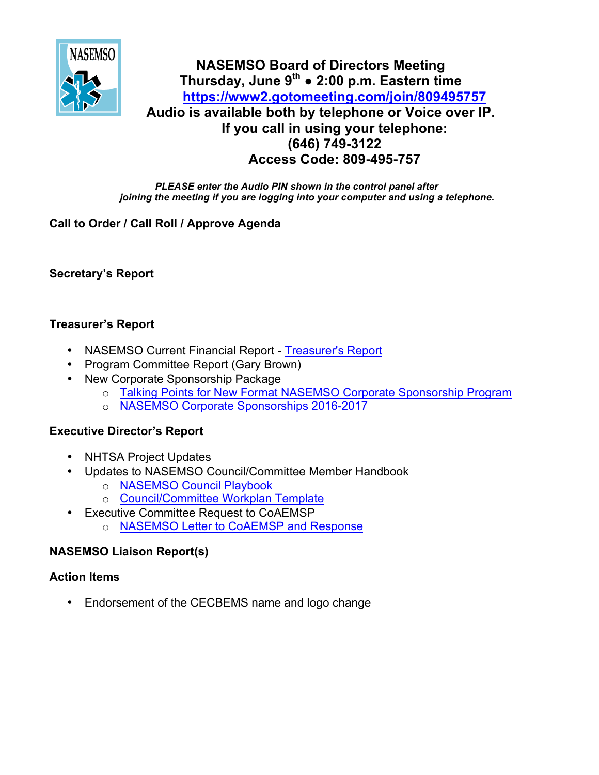

# **NASEMSO Board of Directors Meeting Thursday, June 9th ● 2:00 p.m. Eastern time <https://www2.gotomeeting.com/join/809495757> Audio is available both by telephone or Voice over IP. If you call in using your telephone: (646) 749-3122 Access Code: 809-495-757**

*PLEASE enter the Audio PIN shown in the control panel after joining the meeting if you are logging into your computer and using a telephone.*

## **Call to Order / Call Roll / Approve Agenda**

**Secretary's Report**

#### **Treasurer's Report**

- NASEMSO Current Financial Report [Treasurer's Report](https://www.nasemso.org/Members/Board/documents/NASEMSO-Treasurers-Report-31May2016.xlsx)
- Program Committee Report (Gary Brown)
- New Corporate Sponsorship Package
	- o Talking Points for New [Format NASEMSO Corporate Sponsorship Program](https://www.nasemso.org/Members/Board/documents/Talking-Points-for-NEW-Format-NASEMSO-Corporate-Sponsorship-Program.pdf)
	- o [NASEMSO Corporate Sponsorships 2016-2017](https://www.nasemso.org/Members/Board/documents/NASEMSO-Corporate-Sponsorships-2016-2017.pdf)

## **Executive Director's Report**

- NHTSA Project Updates
- Updates to NASEMSO Council/Committee Member Handbook
	- o [NASEMSO Council Playbook](https://www.nasemso.org/Members/Board/documents/NASEMSO_Council_Playbook_2016_0602.pdf)
	- o [Council/Committee Workplan Template](https://www.nasemso.org/Members/Board/documents/Council-Committee-Workplan-Template_2015.pdf)
- Executive Committee Request to CoAEMSP
	- o [NASEMSO Letter to CoAEMSP and Response](https://www.nasemso.org/Members/Board/documents/NASEMSO-Letter-to-CoAEMSP-and-Response.pdf)

## **NASEMSO Liaison Report(s)**

#### **Action Items**

• Endorsement of the CECBEMS name and logo change